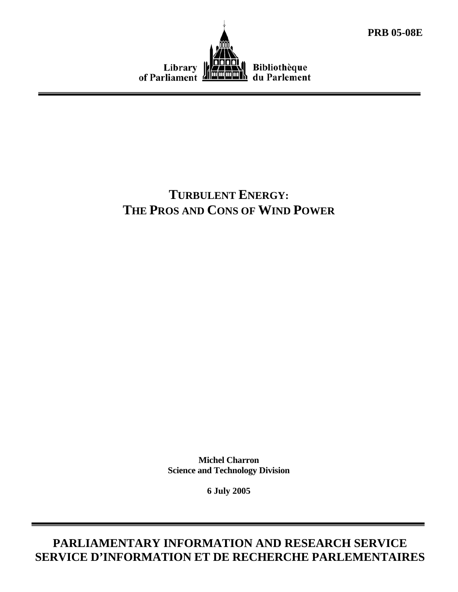



# **TURBULENT ENERGY: THE PROS AND CONS OF WIND POWER**

**Michel Charron Science and Technology Division** 

**6 July 2005** 

**PARLIAMENTARY INFORMATION AND RESEARCH SERVICE SERVICE D'INFORMATION ET DE RECHERCHE PARLEMENTAIRES**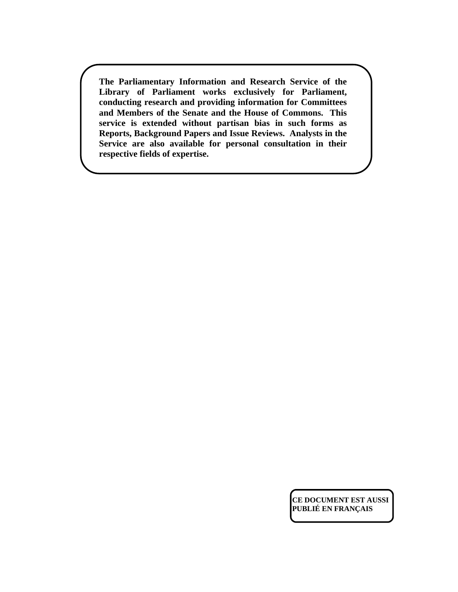**The Parliamentary Information and Research Service of the Library of Parliament works exclusively for Parliament, conducting research and providing information for Committees and Members of the Senate and the House of Commons. This service is extended without partisan bias in such forms as Reports, Background Papers and Issue Reviews. Analysts in the Service are also available for personal consultation in their respective fields of expertise.** 

> **CE DOCUMENT EST AUSSI PUBLIÉ EN FRANÇAIS**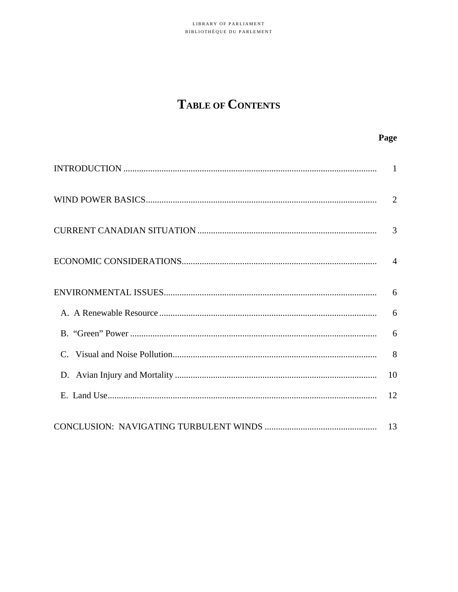# TABLE OF CONTENTS

Page

|    | 2              |
|----|----------------|
|    | 3              |
|    | $\overline{4}$ |
|    | 6              |
|    | 6              |
|    | 6              |
| C. | 8              |
|    | 10             |
|    | 12             |
|    | 13             |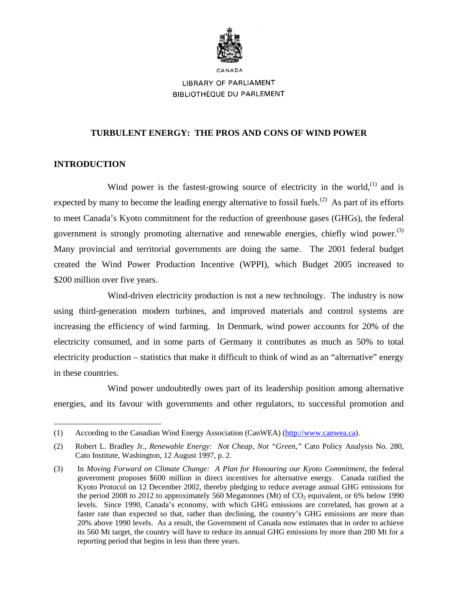

# LIBRARY OF PARLIAMENT **BIBLIOTHÈQUE DU PARLEMENT**

## **TURBULENT ENERGY: THE PROS AND CONS OF WIND POWER**

# **INTRODUCTION**

<u>.</u>

Wind power is the fastest-growing source of electricity in the world, $^{(1)}$  and is expected by many to become the leading energy alternative to fossil fuels.<sup>(2)</sup> As part of its efforts to meet Canada's Kyoto commitment for the reduction of greenhouse gases (GHGs), the federal government is strongly promoting alternative and renewable energies, chiefly wind power.<sup>(3)</sup> Many provincial and territorial governments are doing the same. The 2001 federal budget created the Wind Power Production Incentive (WPPI), which Budget 2005 increased to \$200 million over five years.

Wind-driven electricity production is not a new technology. The industry is now using third-generation modern turbines, and improved materials and control systems are increasing the efficiency of wind farming. In Denmark, wind power accounts for 20% of the electricity consumed, and in some parts of Germany it contributes as much as 50% to total electricity production – statistics that make it difficult to think of wind as an "alternative" energy in these countries.

Wind power undoubtedly owes part of its leadership position among alternative energies, and its favour with governments and other regulators, to successful promotion and

<sup>(1)</sup> According to the Canadian Wind Energy Association (CanWEA) (http://www.canwea.ca).

<sup>(2)</sup> Robert L. Bradley Jr., *Renewable Energy: Not Cheap, Not "Green*,*"* Cato Policy Analysis No. 280, Cato Institute, Washington, 12 August 1997, p. 2.

<sup>(3)</sup> In *Moving Forward on Climate Change: A Plan for Honouring our Kyoto Commitment*, the federal government proposes \$600 million in direct incentives for alternative energy. Canada ratified the Kyoto Protocol on 12 December 2002, thereby pledging to reduce average annual GHG emissions for the period 2008 to 2012 to approximately 560 Megatonnes (Mt) of  $CO<sub>2</sub>$  equivalent, or 6% below 1990 levels. Since 1990, Canada's economy, with which GHG emissions are correlated, has grown at a faster rate than expected so that, rather than declining, the country's GHG emissions are more than 20% above 1990 levels. As a result, the Government of Canada now estimates that in order to achieve its 560 Mt target, the country will have to reduce its annual GHG emissions by more than 280 Mt for a reporting period that begins in less than three years.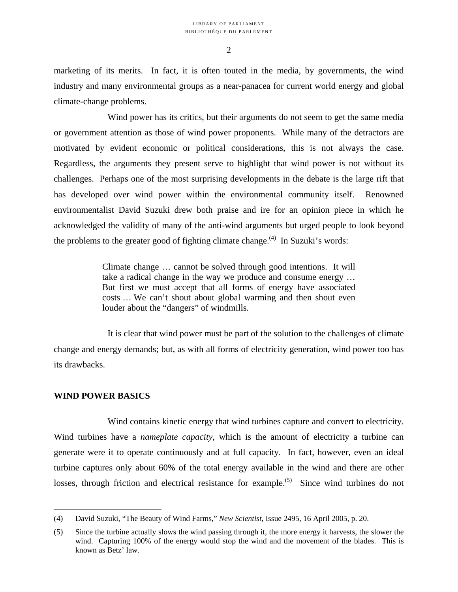marketing of its merits. In fact, it is often touted in the media, by governments, the wind industry and many environmental groups as a near-panacea for current world energy and global climate-change problems.

Wind power has its critics, but their arguments do not seem to get the same media or government attention as those of wind power proponents. While many of the detractors are motivated by evident economic or political considerations, this is not always the case. Regardless, the arguments they present serve to highlight that wind power is not without its challenges. Perhaps one of the most surprising developments in the debate is the large rift that has developed over wind power within the environmental community itself. Renowned environmentalist David Suzuki drew both praise and ire for an opinion piece in which he acknowledged the validity of many of the anti-wind arguments but urged people to look beyond the problems to the greater good of fighting climate change.<sup> $(4)$ </sup> In Suzuki's words:

> Climate change … cannot be solved through good intentions. It will take a radical change in the way we produce and consume energy … But first we must accept that all forms of energy have associated costs … We can't shout about global warming and then shout even louder about the "dangers" of windmills.

It is clear that wind power must be part of the solution to the challenges of climate change and energy demands; but, as with all forms of electricity generation, wind power too has its drawbacks.

#### **WIND POWER BASICS**

1

Wind contains kinetic energy that wind turbines capture and convert to electricity. Wind turbines have a *nameplate capacity*, which is the amount of electricity a turbine can generate were it to operate continuously and at full capacity. In fact, however, even an ideal turbine captures only about 60% of the total energy available in the wind and there are other losses, through friction and electrical resistance for example.<sup> $(5)$ </sup> Since wind turbines do not

<sup>(4)</sup> David Suzuki, "The Beauty of Wind Farms," *New Scientist*, Issue 2495, 16 April 2005, p. 20.

<sup>(5)</sup> Since the turbine actually slows the wind passing through it, the more energy it harvests, the slower the wind. Capturing 100% of the energy would stop the wind and the movement of the blades. This is known as Betz' law.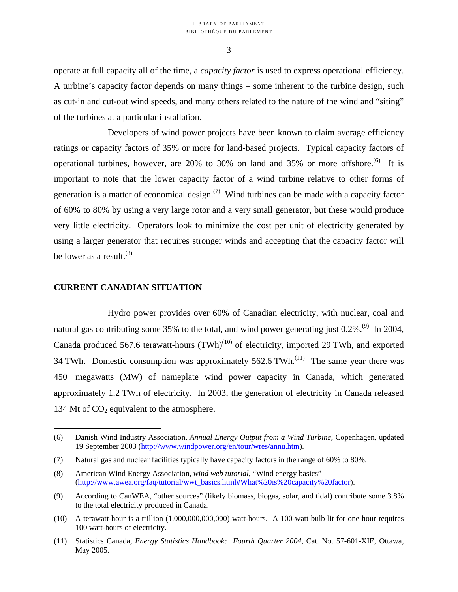operate at full capacity all of the time, a *capacity factor* is used to express operational efficiency. A turbine's capacity factor depends on many things – some inherent to the turbine design, such as cut-in and cut-out wind speeds, and many others related to the nature of the wind and "siting" of the turbines at a particular installation.

Developers of wind power projects have been known to claim average efficiency ratings or capacity factors of 35% or more for land-based projects. Typical capacity factors of operational turbines, however, are  $20\%$  to  $30\%$  on land and  $35\%$  or more offshore.<sup>(6)</sup> It is important to note that the lower capacity factor of a wind turbine relative to other forms of generation is a matter of economical design.<sup> $(7)$ </sup> Wind turbines can be made with a capacity factor of 60% to 80% by using a very large rotor and a very small generator, but these would produce very little electricity. Operators look to minimize the cost per unit of electricity generated by using a larger generator that requires stronger winds and accepting that the capacity factor will be lower as a result.  $(8)$ 

#### **CURRENT CANADIAN SITUATION**

 $\overline{a}$ 

Hydro power provides over 60% of Canadian electricity, with nuclear, coal and natural gas contributing some 35% to the total, and wind power generating just  $0.2\%$ .<sup>(9)</sup> In 2004, Canada produced 567.6 terawatt-hours  $(TWh)^{(10)}$  of electricity, imported 29 TWh, and exported 34 TWh. Domestic consumption was approximately  $562.6$  TWh.<sup>(11)</sup> The same year there was 450 megawatts (MW) of nameplate wind power capacity in Canada, which generated approximately 1.2 TWh of electricity. In 2003, the generation of electricity in Canada released 134 Mt of  $CO<sub>2</sub>$  equivalent to the atmosphere.

<sup>(6)</sup> Danish Wind Industry Association, *Annual Energy Output from a Wind Turbine*, Copenhagen, updated 19 September 2003 (http://www.windpower.org/en/tour/wres/annu.htm).

<sup>(7)</sup> Natural gas and nuclear facilities typically have capacity factors in the range of 60% to 80%.

<sup>(8)</sup> American Wind Energy Association, *wind web tutorial*, "Wind energy basics" (http://www.awea.org/faq/tutorial/wwt\_basics.html#What%20is%20capacity%20factor).

<sup>(9)</sup> According to CanWEA, "other sources" (likely biomass, biogas, solar, and tidal) contribute some 3.8% to the total electricity produced in Canada.

<sup>(10)</sup> A terawatt-hour is a trillion (1,000,000,000,000) watt-hours. A 100-watt bulb lit for one hour requires 100 watt-hours of electricity.

<sup>(11)</sup> Statistics Canada, *Energy Statistics Handbook: Fourth Quarter 2004*, Cat. No. 57-601-XIE, Ottawa, May 2005.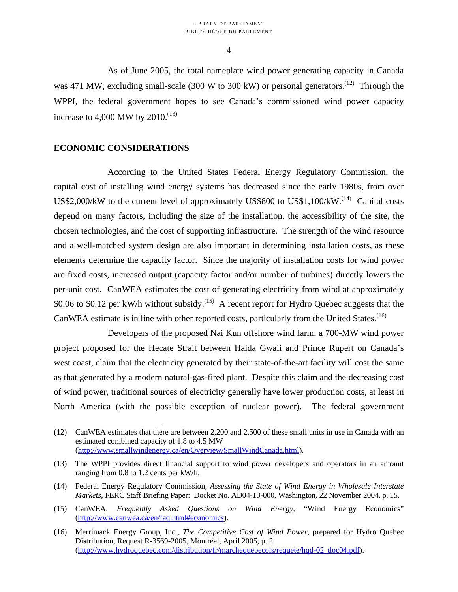As of June 2005, the total nameplate wind power generating capacity in Canada was 471 MW, excluding small-scale (300 W to 300 kW) or personal generators.<sup>(12)</sup> Through the WPPI, the federal government hopes to see Canada's commissioned wind power capacity increase to 4,000 MW by 2010.<sup>(13)</sup>

### **ECONOMIC CONSIDERATIONS**

1

According to the United States Federal Energy Regulatory Commission, the capital cost of installing wind energy systems has decreased since the early 1980s, from over US\$2,000/kW to the current level of approximately US\$800 to US\$1,100/kW.<sup>(14)</sup> Capital costs depend on many factors, including the size of the installation, the accessibility of the site, the chosen technologies, and the cost of supporting infrastructure. The strength of the wind resource and a well-matched system design are also important in determining installation costs, as these elements determine the capacity factor. Since the majority of installation costs for wind power are fixed costs, increased output (capacity factor and/or number of turbines) directly lowers the per-unit cost. CanWEA estimates the cost of generating electricity from wind at approximately \$0.06 to \$0.12 per kW/h without subsidy.<sup>(15)</sup> A recent report for Hydro Quebec suggests that the CanWEA estimate is in line with other reported costs, particularly from the United States.<sup>(16)</sup>

Developers of the proposed Nai Kun offshore wind farm, a 700-MW wind power project proposed for the Hecate Strait between Haida Gwaii and Prince Rupert on Canada's west coast, claim that the electricity generated by their state-of-the-art facility will cost the same as that generated by a modern natural-gas-fired plant. Despite this claim and the decreasing cost of wind power, traditional sources of electricity generally have lower production costs, at least in North America (with the possible exception of nuclear power). The federal government

<sup>(12)</sup> CanWEA estimates that there are between 2,200 and 2,500 of these small units in use in Canada with an estimated combined capacity of 1.8 to 4.5 MW (http://www.smallwindenergy.ca/en/Overview/SmallWindCanada.html).

<sup>(13)</sup> The WPPI provides direct financial support to wind power developers and operators in an amount ranging from 0.8 to 1.2 cents per kW/h.

<sup>(14)</sup> Federal Energy Regulatory Commission, *Assessing the State of Wind Energy in Wholesale Interstate Markets*, FERC Staff Briefing Paper: Docket No. AD04-13-000, Washington, 22 November 2004, p. 15.

<sup>(15)</sup> CanWEA, *Frequently Asked Questions on Wind Energy,* "Wind Energy Economics" (http://www.canwea.ca/en/faq.html#economics).

<sup>(16)</sup> Merrimack Energy Group, Inc., *The Competitive Cost of Wind Power*, prepared for Hydro Quebec Distribution, Request R-3569-2005, Montréal, April 2005, p. 2 (http://www.hydroquebec.com/distribution/fr/marchequebecois/requete/hqd-02\_doc04.pdf).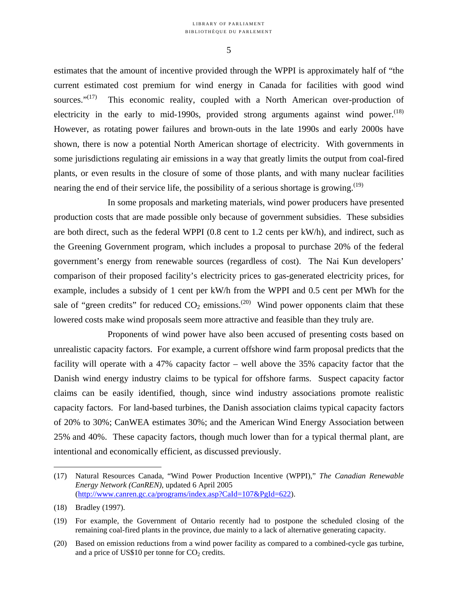estimates that the amount of incentive provided through the WPPI is approximately half of "the current estimated cost premium for wind energy in Canada for facilities with good wind sources." $(17)$  This economic reality, coupled with a North American over-production of electricity in the early to mid-1990s, provided strong arguments against wind power.<sup> $(18)$ </sup> However, as rotating power failures and brown-outs in the late 1990s and early 2000s have shown, there is now a potential North American shortage of electricity. With governments in some jurisdictions regulating air emissions in a way that greatly limits the output from coal-fired plants, or even results in the closure of some of those plants, and with many nuclear facilities nearing the end of their service life, the possibility of a serious shortage is growing.<sup> $(19)$ </sup>

In some proposals and marketing materials, wind power producers have presented production costs that are made possible only because of government subsidies. These subsidies are both direct, such as the federal WPPI (0.8 cent to 1.2 cents per kW/h), and indirect, such as the Greening Government program, which includes a proposal to purchase 20% of the federal government's energy from renewable sources (regardless of cost). The Nai Kun developers' comparison of their proposed facility's electricity prices to gas-generated electricity prices, for example, includes a subsidy of 1 cent per kW/h from the WPPI and 0.5 cent per MWh for the sale of "green credits" for reduced  $CO_2$  emissions.<sup>(20)</sup> Wind power opponents claim that these lowered costs make wind proposals seem more attractive and feasible than they truly are.

Proponents of wind power have also been accused of presenting costs based on unrealistic capacity factors. For example, a current offshore wind farm proposal predicts that the facility will operate with a 47% capacity factor – well above the 35% capacity factor that the Danish wind energy industry claims to be typical for offshore farms. Suspect capacity factor claims can be easily identified, though, since wind industry associations promote realistic capacity factors. For land-based turbines, the Danish association claims typical capacity factors of 20% to 30%; CanWEA estimates 30%; and the American Wind Energy Association between 25% and 40%. These capacity factors, though much lower than for a typical thermal plant, are intentional and economically efficient, as discussed previously.

<sup>(17)</sup> Natural Resources Canada, "Wind Power Production Incentive (WPPI)," *The Canadian Renewable Energy Network (CanREN)*, updated 6 April 2005 (http://www.canren.gc.ca/programs/index.asp?CaId=107&PgId=622).

<sup>(18)</sup> Bradley (1997).

<sup>(19)</sup> For example, the Government of Ontario recently had to postpone the scheduled closing of the remaining coal-fired plants in the province, due mainly to a lack of alternative generating capacity.

<sup>(20)</sup> Based on emission reductions from a wind power facility as compared to a combined-cycle gas turbine, and a price of US\$10 per tonne for  $CO<sub>2</sub>$  credits.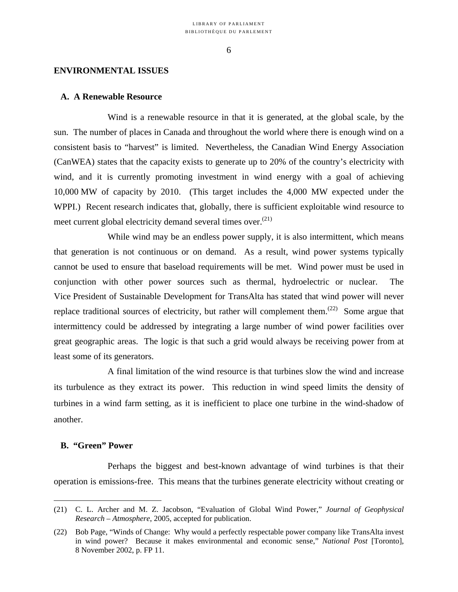#### **ENVIRONMENTAL ISSUES**

#### **A. A Renewable Resource**

Wind is a renewable resource in that it is generated, at the global scale, by the sun. The number of places in Canada and throughout the world where there is enough wind on a consistent basis to "harvest" is limited. Nevertheless, the Canadian Wind Energy Association (CanWEA) states that the capacity exists to generate up to 20% of the country's electricity with wind, and it is currently promoting investment in wind energy with a goal of achieving 10,000 MW of capacity by 2010. (This target includes the 4,000 MW expected under the WPPI.) Recent research indicates that, globally, there is sufficient exploitable wind resource to meet current global electricity demand several times over.<sup>(21)</sup>

While wind may be an endless power supply, it is also intermittent, which means that generation is not continuous or on demand. As a result, wind power systems typically cannot be used to ensure that baseload requirements will be met. Wind power must be used in conjunction with other power sources such as thermal, hydroelectric or nuclear. The Vice President of Sustainable Development for TransAlta has stated that wind power will never replace traditional sources of electricity, but rather will complement them.<sup> $(22)$ </sup> Some argue that intermittency could be addressed by integrating a large number of wind power facilities over great geographic areas. The logic is that such a grid would always be receiving power from at least some of its generators.

A final limitation of the wind resource is that turbines slow the wind and increase its turbulence as they extract its power. This reduction in wind speed limits the density of turbines in a wind farm setting, as it is inefficient to place one turbine in the wind-shadow of another.

#### **B. "Green" Power**

1

Perhaps the biggest and best-known advantage of wind turbines is that their operation is emissions-free. This means that the turbines generate electricity without creating or

<sup>(21)</sup> C. L. Archer and M. Z. Jacobson, "Evaluation of Global Wind Power," *Journal of Geophysical Research – Atmosphere*, 2005, accepted for publication.

<sup>(22)</sup> Bob Page, "Winds of Change: Why would a perfectly respectable power company like TransAlta invest in wind power? Because it makes environmental and economic sense," *National Post* [Toronto], 8 November 2002, p. FP 11.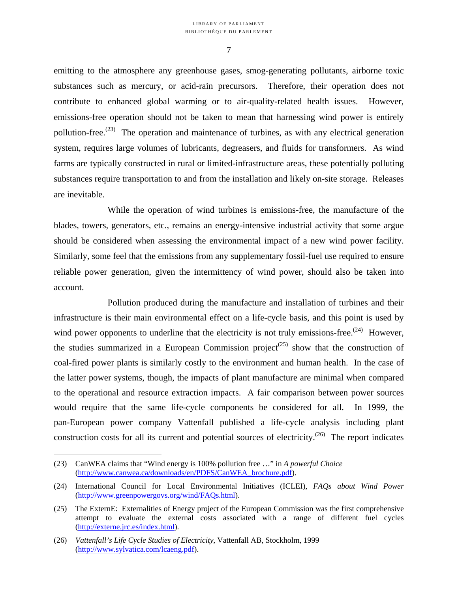emitting to the atmosphere any greenhouse gases, smog-generating pollutants, airborne toxic substances such as mercury, or acid-rain precursors. Therefore, their operation does not contribute to enhanced global warming or to air-quality-related health issues. However, emissions-free operation should not be taken to mean that harnessing wind power is entirely pollution-free.<sup> $(23)$ </sup> The operation and maintenance of turbines, as with any electrical generation system, requires large volumes of lubricants, degreasers, and fluids for transformers. As wind farms are typically constructed in rural or limited-infrastructure areas, these potentially polluting substances require transportation to and from the installation and likely on-site storage. Releases are inevitable.

While the operation of wind turbines is emissions-free, the manufacture of the blades, towers, generators, etc., remains an energy-intensive industrial activity that some argue should be considered when assessing the environmental impact of a new wind power facility. Similarly, some feel that the emissions from any supplementary fossil-fuel use required to ensure reliable power generation, given the intermittency of wind power, should also be taken into account.

Pollution produced during the manufacture and installation of turbines and their infrastructure is their main environmental effect on a life-cycle basis, and this point is used by wind power opponents to underline that the electricity is not truly emissions-free.<sup> $(24)$ </sup> However, the studies summarized in a European Commission project<sup>(25)</sup> show that the construction of coal-fired power plants is similarly costly to the environment and human health. In the case of the latter power systems, though, the impacts of plant manufacture are minimal when compared to the operational and resource extraction impacts. A fair comparison between power sources would require that the same life-cycle components be considered for all. In 1999, the pan-European power company Vattenfall published a life-cycle analysis including plant construction costs for all its current and potential sources of electricity.<sup> $(26)$ </sup> The report indicates

<sup>(23)</sup> CanWEA claims that "Wind energy is 100% pollution free …" in *A powerful Choice* (http://www.canwea.ca/downloads/en/PDFS/CanWEA\_brochure.pdf).

<sup>(24)</sup> International Council for Local Environmental Initiatives (ICLEI), *FAQs about Wind Power* (http://www.greenpowergovs.org/wind/FAQs.html).

<sup>(25)</sup> The ExternE: Externalities of Energy project of the European Commission was the first comprehensive attempt to evaluate the external costs associated with a range of different fuel cycles (http://externe.jrc.es/index.html).

<sup>(26)</sup> *Vattenfall's Life Cycle Studies of Electricity*, Vattenfall AB, Stockholm, 1999 (http://www.sylvatica.com/lcaeng.pdf).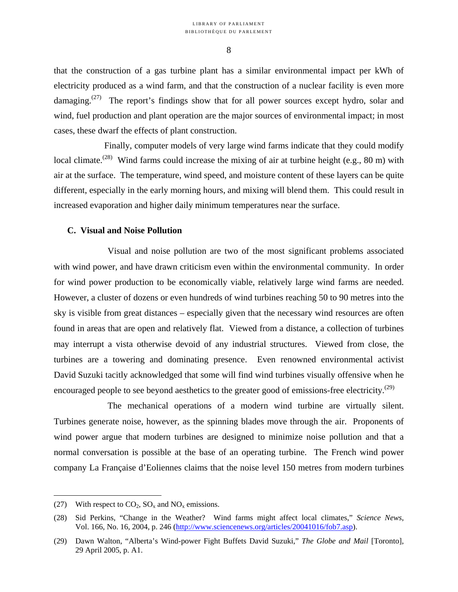that the construction of a gas turbine plant has a similar environmental impact per kWh of electricity produced as a wind farm, and that the construction of a nuclear facility is even more damaging.<sup> $(27)$ </sup> The report's findings show that for all power sources except hydro, solar and wind, fuel production and plant operation are the major sources of environmental impact; in most cases, these dwarf the effects of plant construction.

Finally, computer models of very large wind farms indicate that they could modify local climate.<sup>(28)</sup> Wind farms could increase the mixing of air at turbine height (e.g., 80 m) with air at the surface. The temperature, wind speed, and moisture content of these layers can be quite different, especially in the early morning hours, and mixing will blend them. This could result in increased evaporation and higher daily minimum temperatures near the surface.

#### **C. Visual and Noise Pollution**

Visual and noise pollution are two of the most significant problems associated with wind power, and have drawn criticism even within the environmental community. In order for wind power production to be economically viable, relatively large wind farms are needed. However, a cluster of dozens or even hundreds of wind turbines reaching 50 to 90 metres into the sky is visible from great distances – especially given that the necessary wind resources are often found in areas that are open and relatively flat. Viewed from a distance, a collection of turbines may interrupt a vista otherwise devoid of any industrial structures. Viewed from close, the turbines are a towering and dominating presence. Even renowned environmental activist David Suzuki tacitly acknowledged that some will find wind turbines visually offensive when he encouraged people to see beyond aesthetics to the greater good of emissions-free electricity.<sup>(29)</sup>

The mechanical operations of a modern wind turbine are virtually silent. Turbines generate noise, however, as the spinning blades move through the air. Proponents of wind power argue that modern turbines are designed to minimize noise pollution and that a normal conversation is possible at the base of an operating turbine. The French wind power company La Française d'Eoliennes claims that the noise level 150 metres from modern turbines

<sup>(27)</sup> With respect to  $CO_2$ ,  $SO_x$  and  $NO_x$  emissions.

<sup>(28)</sup> Sid Perkins, "Change in the Weather? Wind farms might affect local climates," *Science News*, Vol. 166, No. 16, 2004, p. 246 (http://www.sciencenews.org/articles/20041016/fob7.asp).

<sup>(29)</sup> Dawn Walton, "Alberta's Wind-power Fight Buffets David Suzuki," *The Globe and Mail* [Toronto], 29 April 2005, p. A1.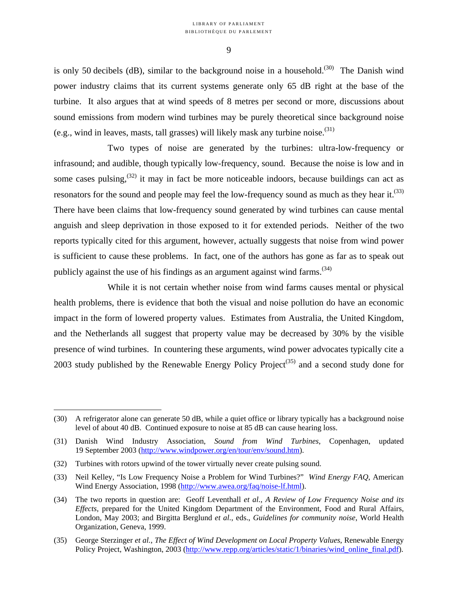is only 50 decibels (dB), similar to the background noise in a household.<sup>(30)</sup> The Danish wind power industry claims that its current systems generate only 65 dB right at the base of the turbine. It also argues that at wind speeds of 8 metres per second or more, discussions about sound emissions from modern wind turbines may be purely theoretical since background noise (e.g., wind in leaves, masts, tall grasses) will likely mask any turbine noise.(31)

Two types of noise are generated by the turbines: ultra-low-frequency or infrasound; and audible, though typically low-frequency, sound. Because the noise is low and in some cases pulsing,  $(32)$  it may in fact be more noticeable indoors, because buildings can act as resonators for the sound and people may feel the low-frequency sound as much as they hear it.<sup> $(33)$ </sup> There have been claims that low-frequency sound generated by wind turbines can cause mental anguish and sleep deprivation in those exposed to it for extended periods. Neither of the two reports typically cited for this argument, however, actually suggests that noise from wind power is sufficient to cause these problems. In fact, one of the authors has gone as far as to speak out publicly against the use of his findings as an argument against wind farms.<sup>(34)</sup>

While it is not certain whether noise from wind farms causes mental or physical health problems, there is evidence that both the visual and noise pollution do have an economic impact in the form of lowered property values. Estimates from Australia, the United Kingdom, and the Netherlands all suggest that property value may be decreased by 30% by the visible presence of wind turbines. In countering these arguments, wind power advocates typically cite a 2003 study published by the Renewable Energy Policy Project<sup> $(35)$ </sup> and a second study done for

<sup>(30)</sup> A refrigerator alone can generate 50 dB, while a quiet office or library typically has a background noise level of about 40 dB. Continued exposure to noise at 85 dB can cause hearing loss.

<sup>(31)</sup> Danish Wind Industry Association, *Sound from Wind Turbines*, Copenhagen, updated 19 September 2003 (http://www.windpower.org/en/tour/env/sound.htm).

<sup>(32)</sup> Turbines with rotors upwind of the tower virtually never create pulsing sound.

<sup>(33)</sup> Neil Kelley, "Is Low Frequency Noise a Problem for Wind Turbines?" *Wind Energy FAQ*, American Wind Energy Association, 1998 (http://www.awea.org/faq/noise-lf.html).

<sup>(34)</sup> The two reports in question are: Geoff Leventhall *et al.*, *A Review of Low Frequency Noise and its Effects,* prepared for the United Kingdom Department of the Environment, Food and Rural Affairs, London, May 2003; and Birgitta Berglund *et al.*, eds., *Guidelines for community noise*, World Health Organization, Geneva, 1999.

<sup>(35)</sup> George Sterzinger *et al.*, *The Effect of Wind Development on Local Property Values*, Renewable Energy Policy Project, Washington, 2003 (http://www.repp.org/articles/static/1/binaries/wind\_online\_final.pdf).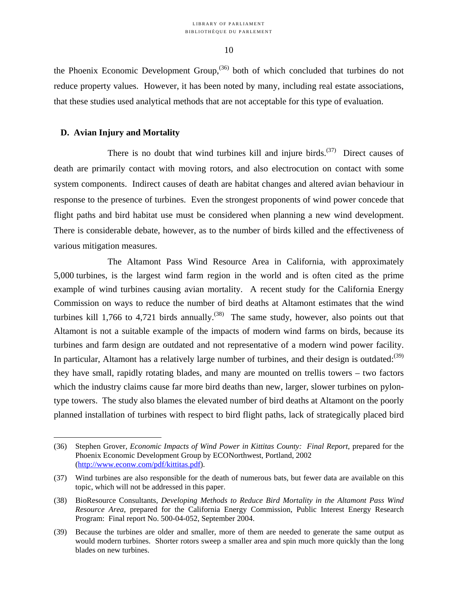the Phoenix Economic Development Group,  $(36)$  both of which concluded that turbines do not reduce property values. However, it has been noted by many, including real estate associations, that these studies used analytical methods that are not acceptable for this type of evaluation.

#### **D. Avian Injury and Mortality**

1

There is no doubt that wind turbines kill and injure birds.<sup> $(37)$ </sup> Direct causes of death are primarily contact with moving rotors, and also electrocution on contact with some system components. Indirect causes of death are habitat changes and altered avian behaviour in response to the presence of turbines. Even the strongest proponents of wind power concede that flight paths and bird habitat use must be considered when planning a new wind development. There is considerable debate, however, as to the number of birds killed and the effectiveness of various mitigation measures.

The Altamont Pass Wind Resource Area in California, with approximately 5,000 turbines, is the largest wind farm region in the world and is often cited as the prime example of wind turbines causing avian mortality. A recent study for the California Energy Commission on ways to reduce the number of bird deaths at Altamont estimates that the wind turbines kill 1,766 to 4,721 birds annually.<sup>(38)</sup> The same study, however, also points out that Altamont is not a suitable example of the impacts of modern wind farms on birds, because its turbines and farm design are outdated and not representative of a modern wind power facility. In particular, Altamont has a relatively large number of turbines, and their design is outdated: $(39)$ they have small, rapidly rotating blades, and many are mounted on trellis towers – two factors which the industry claims cause far more bird deaths than new, larger, slower turbines on pylontype towers. The study also blames the elevated number of bird deaths at Altamont on the poorly planned installation of turbines with respect to bird flight paths, lack of strategically placed bird

<sup>(36)</sup> Stephen Grover, *Economic Impacts of Wind Power in Kittitas County: Final Report*, prepared for the Phoenix Economic Development Group by ECONorthwest, Portland, 2002 (http://www.econw.com/pdf/kittitas.pdf).

<sup>(37)</sup> Wind turbines are also responsible for the death of numerous bats, but fewer data are available on this topic, which will not be addressed in this paper.

<sup>(38)</sup> BioResource Consultants, *Developing Methods to Reduce Bird Mortality in the Altamont Pass Wind Resource Area*, prepared for the California Energy Commission, Public Interest Energy Research Program: Final report No. 500-04-052, September 2004.

<sup>(39)</sup> Because the turbines are older and smaller, more of them are needed to generate the same output as would modern turbines. Shorter rotors sweep a smaller area and spin much more quickly than the long blades on new turbines.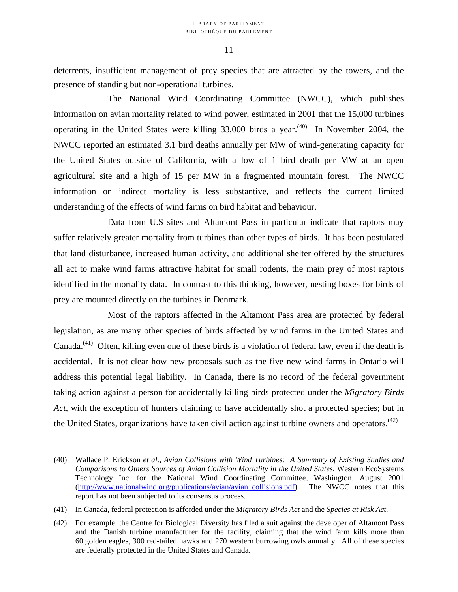deterrents, insufficient management of prey species that are attracted by the towers, and the presence of standing but non-operational turbines.

The National Wind Coordinating Committee (NWCC), which publishes information on avian mortality related to wind power, estimated in 2001 that the 15,000 turbines operating in the United States were killing  $33,000$  birds a year.<sup>(40)</sup> In November 2004, the NWCC reported an estimated 3.1 bird deaths annually per MW of wind-generating capacity for the United States outside of California, with a low of 1 bird death per MW at an open agricultural site and a high of 15 per MW in a fragmented mountain forest. The NWCC information on indirect mortality is less substantive, and reflects the current limited understanding of the effects of wind farms on bird habitat and behaviour.

Data from U.S sites and Altamont Pass in particular indicate that raptors may suffer relatively greater mortality from turbines than other types of birds. It has been postulated that land disturbance, increased human activity, and additional shelter offered by the structures all act to make wind farms attractive habitat for small rodents, the main prey of most raptors identified in the mortality data. In contrast to this thinking, however, nesting boxes for birds of prey are mounted directly on the turbines in Denmark.

Most of the raptors affected in the Altamont Pass area are protected by federal legislation, as are many other species of birds affected by wind farms in the United States and Canada.(41) Often, killing even one of these birds is a violation of federal law, even if the death is accidental. It is not clear how new proposals such as the five new wind farms in Ontario will address this potential legal liability. In Canada, there is no record of the federal government taking action against a person for accidentally killing birds protected under the *Migratory Birds Act*, with the exception of hunters claiming to have accidentally shot a protected species; but in the United States, organizations have taken civil action against turbine owners and operators.<sup>(42)</sup>

<sup>(40)</sup> Wallace P. Erickson *et al.*, *Avian Collisions with Wind Turbines: A Summary of Existing Studies and Comparisons to Others Sources of Avian Collision Mortality in the United States*, Western EcoSystems Technology Inc. for the National Wind Coordinating Committee, Washington, August 2001 (http://www.nationalwind.org/publications/avian/avian\_collisions.pdf). The NWCC notes that this report has not been subjected to its consensus process.

<sup>(41)</sup> In Canada, federal protection is afforded under the *Migratory Birds Act* and the *Species at Risk Act*.

<sup>(42)</sup> For example, the Centre for Biological Diversity has filed a suit against the developer of Altamont Pass and the Danish turbine manufacturer for the facility, claiming that the wind farm kills more than 60 golden eagles, 300 red-tailed hawks and 270 western burrowing owls annually. All of these species are federally protected in the United States and Canada.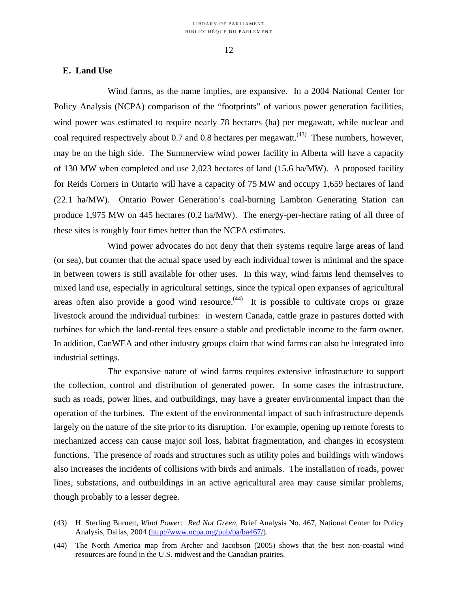#### **E. Land Use**

 $\overline{a}$ 

Wind farms, as the name implies, are expansive. In a 2004 National Center for Policy Analysis (NCPA) comparison of the "footprints" of various power generation facilities, wind power was estimated to require nearly 78 hectares (ha) per megawatt, while nuclear and coal required respectively about 0.7 and 0.8 hectares per megawatt.<sup> $(43)$ </sup> These numbers, however, may be on the high side. The Summerview wind power facility in Alberta will have a capacity of 130 MW when completed and use 2,023 hectares of land (15.6 ha/MW). A proposed facility for Reids Corners in Ontario will have a capacity of 75 MW and occupy 1,659 hectares of land (22.1 ha/MW). Ontario Power Generation's coal-burning Lambton Generating Station can produce 1,975 MW on 445 hectares (0.2 ha/MW). The energy-per-hectare rating of all three of these sites is roughly four times better than the NCPA estimates.

Wind power advocates do not deny that their systems require large areas of land (or sea), but counter that the actual space used by each individual tower is minimal and the space in between towers is still available for other uses. In this way, wind farms lend themselves to mixed land use, especially in agricultural settings, since the typical open expanses of agricultural areas often also provide a good wind resource.<sup> $(44)$ </sup> It is possible to cultivate crops or graze livestock around the individual turbines: in western Canada, cattle graze in pastures dotted with turbines for which the land-rental fees ensure a stable and predictable income to the farm owner. In addition, CanWEA and other industry groups claim that wind farms can also be integrated into industrial settings.

The expansive nature of wind farms requires extensive infrastructure to support the collection, control and distribution of generated power. In some cases the infrastructure, such as roads, power lines, and outbuildings, may have a greater environmental impact than the operation of the turbines. The extent of the environmental impact of such infrastructure depends largely on the nature of the site prior to its disruption. For example, opening up remote forests to mechanized access can cause major soil loss, habitat fragmentation, and changes in ecosystem functions. The presence of roads and structures such as utility poles and buildings with windows also increases the incidents of collisions with birds and animals. The installation of roads, power lines, substations, and outbuildings in an active agricultural area may cause similar problems, though probably to a lesser degree.

<sup>(43)</sup> H. Sterling Burnett, *Wind Power: Red Not Green*, Brief Analysis No. 467, National Center for Policy Analysis, Dallas, 2004 (http://www.ncpa.org/pub/ba/ba467/).

<sup>(44)</sup> The North America map from Archer and Jacobson (2005) shows that the best non-coastal wind resources are found in the U.S. midwest and the Canadian prairies.